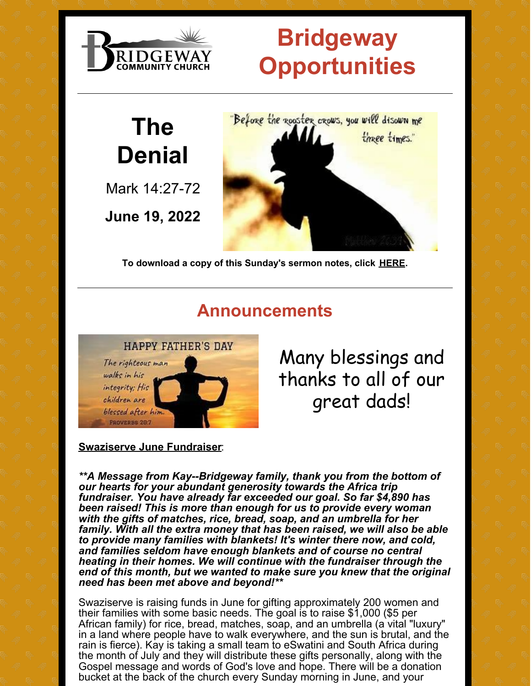

# **Bridgeway Opportunities**

# **The Denial**

Mark 14:27-72

**June 19, 2022**



**To download a copy of this Sunday's sermon notes, click [HERE.](https://files.constantcontact.com/b2c25fc9201/a8f9e0c6-c53e-4079-b9f5-cc4e5bd11827.docx)**

#### **Announcements**



Many blessings and thanks to all of our great dads!

#### **Swaziserve June Fundraiser**:

*\*\*A Message from Kay--Bridgeway family, thank you from the bottom of our hearts for your abundant generosity towards the Africa trip fundraiser. You have already far exceeded our goal. So far \$4,890 has been raised! This is more than enough for us to provide every woman with the gifts of matches, rice, bread, soap, and an umbrella for her family. With all the extra money that has been raised, we will also be able to provide many families with blankets! It's winter there now, and cold, and families seldom have enough blankets and of course no central heating in their homes. We will continue with the fundraiser through the end of this month, but we wanted to make sure you knew that the original need has been met above and beyond!\*\**

Swaziserve is raising funds in June for gifting approximately 200 women and their families with some basic needs. The goal is to raise \$1,000 (\$5 per African family) for rice, bread, matches, soap, and an umbrella (a vital "luxury" in a land where people have to walk everywhere, and the sun is brutal, and the rain is fierce). Kay is taking a small team to eSwatini and South Africa during the month of July and they will distribute these gifts personally, along with the Gospel message and words of God's love and hope. There will be a donation bucket at the back of the church every Sunday morning in June, and your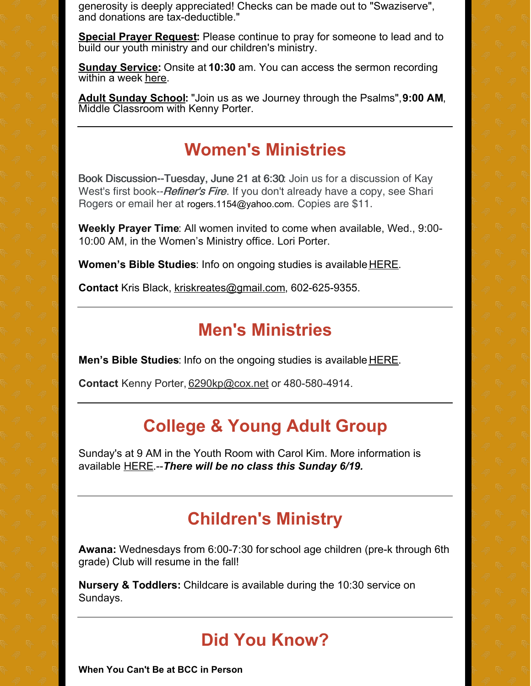generosity is deeply appreciated! Checks can be made out to "Swaziserve", and donations are tax-deductible."

**Special Prayer Request:** Please continue to pray for someone to lead and to build our youth ministry and our children's ministry.

**Sunday Service:** Onsite at **10:30** am. You can access the sermon recording within a week [here](http://www.bridgewaycc.org/site/sermons.php).

**Adult Sunday School:** "Join us as we Journey through the Psalms",**9:00 AM**, Middle Classroom with Kenny Porter.

#### **Women's Ministries**

Book Discussion--Tuesday, June 21 at 6:30: Join us for a discussion of Kay West's first book--*Refiner's Fire*. If you don't already have a copy, see Shari Rogers or email her at rogers.1154@yahoo.com. Copies are \$11.

**Weekly Prayer Time**: All women invited to come when available, Wed., 9:00- 10:00 AM, in the Women's Ministry office. Lori Porter.

**Women's Bible Studies**: Info on ongoing studies is available [HERE](http://www.bridgewaycc.org/site/women.php).

**Contact** Kris Black, [kriskreates@gmail.com](mailto:kriskreates@gmail.com), 602-625-9355.

#### **Men's Ministries**

**Men's Bible Studies**: Info on the ongoing studies is available [HERE](http://www.bridgewaycc.org/site/men.php).

**Contact** Kenny Porter, [6290kp@cox.net](mailto:6290kp@cox.net) or 480-580-4914.

## **College & Young Adult Group**

Sunday's at 9 AM in the Youth Room with Carol Kim. More information is available [HERE](http://www.bridgewaycc.org/site/college.php).--*There will be no class this Sunday 6/19.*

### **Children's Ministry**

**Awana:** Wednesdays from 6:00-7:30 for school age children (pre-k through 6th grade) Club will resume in the fall!

**Nursery & Toddlers:** Childcare is available during the 10:30 service on Sundays.

## **Did You Know?**

**When You Can't Be at BCC in Person**